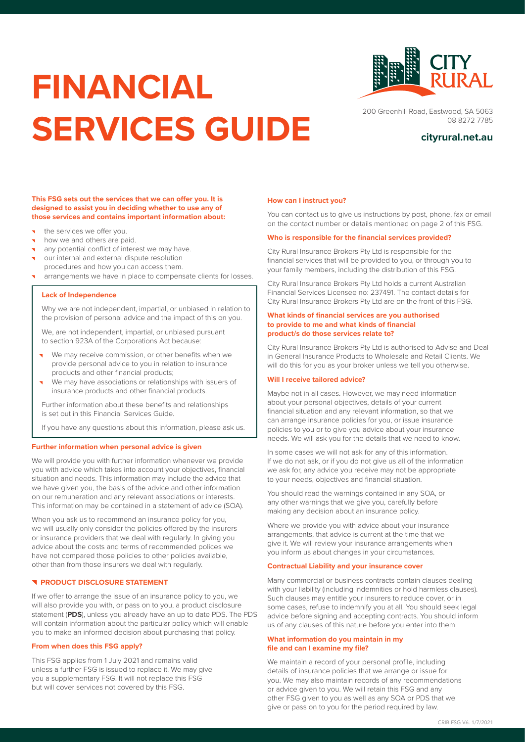# **FINANCIAL SERVICES GUIDE cityrural.net.au**



200 Greenhill Road, Eastwood, SA 5063 08 8272 7785

#### **This FSG sets out the services that we can offer you. It is designed to assist you in deciding whether to use any of those services and contains important information about:**

- the services we offer you.
- how we and others are paid.
- any potential conflict of interest we may have.
- our internal and external dispute resolution procedures and how you can access them.
- arrangements we have in place to compensate clients for losses.

# **Lack of Independence**

Why we are not independent, impartial, or unbiased in relation to the provision of personal advice and the impact of this on you.

We, are not independent, impartial, or unbiased pursuant to section 923A of the Corporations Act because:

- We may receive commission, or other benefits when we provide personal advice to you in relation to insurance products and other financial products;
- We may have associations or relationships with issuers of insurance products and other financial products.

Further information about these benefits and relationships is set out in this Financial Services Guide.

If you have any questions about this information, please ask us.

#### **Further information when personal advice is given**

We will provide you with further information whenever we provide you with advice which takes into account your objectives, financial situation and needs. This information may include the advice that we have given you, the basis of the advice and other information on our remuneration and any relevant associations or interests. This information may be contained in a statement of advice (SOA).

When you ask us to recommend an insurance policy for you, we will usually only consider the policies offered by the insurers or insurance providers that we deal with regularly. In giving you advice about the costs and terms of recommended polices we have not compared those policies to other policies available, other than from those insurers we deal with regularly.

# **PRODUCT DISCLOSURE STATEMENT**

If we offer to arrange the issue of an insurance policy to you, we will also provide you with, or pass on to you, a product disclosure statement (**PDS**), unless you already have an up to date PDS. The PDS will contain information about the particular policy which will enable you to make an informed decision about purchasing that policy.

# **From when does this FSG apply?**

This FSG applies from 1 July 2021 and remains valid unless a further FSG is issued to replace it. We may give you a supplementary FSG. It will not replace this FSG but will cover services not covered by this FSG.

#### **How can I instruct you?**

You can contact us to give us instructions by post, phone, fax or email on the contact number or details mentioned on page 2 of this FSG.

# **Who is responsible for the financial services provided?**

City Rural Insurance Brokers Pty Ltd is responsible for the financial services that will be provided to you, or through you to your family members, including the distribution of this FSG.

City Rural Insurance Brokers Pty Ltd holds a current Australian Financial Services Licensee no: 237491. The contact details for City Rural Insurance Brokers Pty Ltd are on the front of this FSG.

#### **What kinds of financial services are you authorised to provide to me and what kinds of financial product/s do those services relate to?**

City Rural Insurance Brokers Pty Ltd is authorised to Advise and Deal in General Insurance Products to Wholesale and Retail Clients. We will do this for you as your broker unless we tell you otherwise.

# **Will I receive tailored advice?**

Maybe not in all cases. However, we may need information about your personal objectives, details of your current financial situation and any relevant information, so that we can arrange insurance policies for you, or issue insurance policies to you or to give you advice about your insurance needs. We will ask you for the details that we need to know.

In some cases we will not ask for any of this information. If we do not ask, or if you do not give us all of the information we ask for, any advice you receive may not be appropriate to your needs, objectives and financial situation.

You should read the warnings contained in any SOA, or any other warnings that we give you, carefully before making any decision about an insurance policy.

Where we provide you with advice about your insurance arrangements, that advice is current at the time that we give it. We will review your insurance arrangements when you inform us about changes in your circumstances.

# **Contractual Liability and your insurance cover**

Many commercial or business contracts contain clauses dealing with your liability (including indemnities or hold harmless clauses). Such clauses may entitle your insurers to reduce cover, or in some cases, refuse to indemnify you at all. You should seek legal advice before signing and accepting contracts. You should inform us of any clauses of this nature before you enter into them.

### **What information do you maintain in my file and can I examine my file?**

We maintain a record of your personal profile, including details of insurance policies that we arrange or issue for you. We may also maintain records of any recommendations or advice given to you. We will retain this FSG and any other FSG given to you as well as any SOA or PDS that we give or pass on to you for the period required by law.